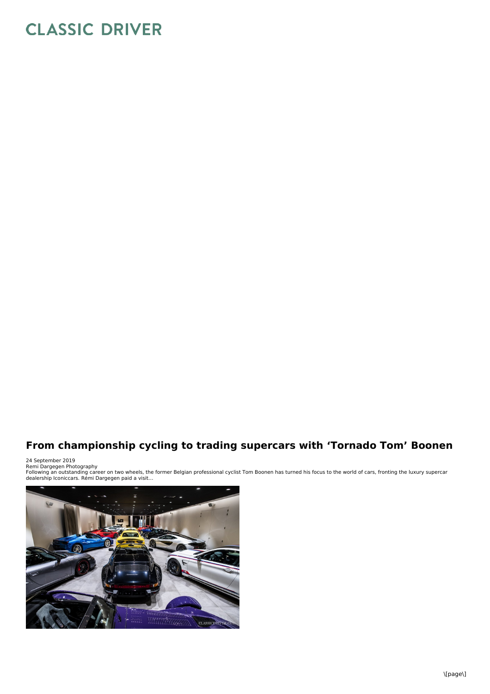## **CLASSIC DRIVER**

## **From championship cycling to trading supercars with 'Tornado Tom' Boonen**

24 September 2019

Remi Dargegen Photography<br>Following an outstanding career on two wheels, the former Belgian professional cyclist Tom Boonen has turned his focus to the world of cars, fronting the luxury supercar<br>dealership Iconiccars. Rém

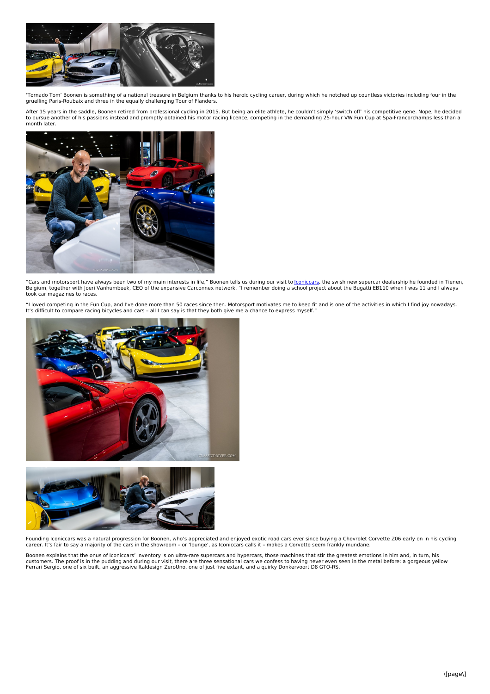

'Tornado Tom' Boonen is something of a national treasure in Belgium thanks to his heroic cycling career, during which he notched up countless victories including four in the gruelling Paris-Roubaix and three in the equally challenging Tour of Flanders.

After 15 years in the saddle, Boonen retired from professional cycling in 2015. But being an elite athlete, he couldn't simply 'switch off' his competitive gene. Nope, he decided<br>to pursue another of his passions instead a month later.



"Cars and motorsport have always been two of my main interests in life," Boonen tells us during our visit to <u>[Iconiccars](https://www.classicdriver.com/en/dealer/iconiccarsbe?)</u>, the swish new supercar dealership he founded in Tienen,<br>Belgium, together with Joeri Vanhumbeek, CE

"I loved competing in the Fun Cup, and I've done more than 50 races since then. Motorsport motivates me to keep fit and is one of the activities in which Ifind joy nowadays. It's difficult to compare racing bicycles and cars – all I can say is that they both give me a chance to express myself."





Founding Iconiccars was a natural progression for Boonen, who's appreciated and enjoyed exotic road cars ever since buying a Chevrolet Corvette Z06 early on in his cycling<br>career. It's fair to say a majority of the cars in

Boonen explains that the onus of Iconiccars' inventory is on ultra-rare supercars and hypercars, those machines that stir the greatest emotions in him and, in turn, his customers. The proof is in the pudding and during our visit, there are three sensational cars we confess to having never even seen in the metal before: a gorgeous yellow<br>Ferrari Sergio, one of six built, an aggressive Ital